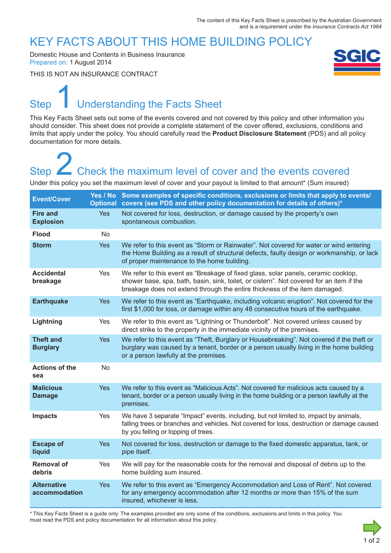### KEY FACTS ABOUT THIS HOME BUILDING POLICY

Domestic House and Contents in Business Insurance Prepared on: 1 August 2014

THIS IS NOT AN INSURANCE CONTRACT



# Step Understanding the Facts Sheet 1

This Key Facts Sheet sets out some of the events covered and not covered by this policy and other information you should consider. This sheet does not provide a complete statement of the cover offered, exclusions, conditions and limits that apply under the policy. You should carefully read the **Product Disclosure Statement** (PDS) and all policy documentation for more details.

# Step **Check the maximum level of cover and the events covered** Step<br>
2 Check the maximum level of cover and the events covered<br>
Under this policy you set the maximum level of cover and your payout is limited to that amount\* (Sum insured)

| <b>Event/Cover</b>                  |            | Yes / No Some examples of specific conditions, exclusions or limits that apply to events/<br>Optional covers (see PDS and other policy documentation for details of others)*                                                                                 |
|-------------------------------------|------------|--------------------------------------------------------------------------------------------------------------------------------------------------------------------------------------------------------------------------------------------------------------|
| <b>Fire and</b><br><b>Explosion</b> | <b>Yes</b> | Not covered for loss, destruction, or damage caused by the property's own<br>spontaneous combustion.                                                                                                                                                         |
| <b>Flood</b>                        | No         |                                                                                                                                                                                                                                                              |
| <b>Storm</b>                        | Yes        | We refer to this event as "Storm or Rainwater". Not covered for water or wind entering<br>the Home Building as a result of structural defects, faulty design or workmanship, or lack<br>of proper maintenance to the home building.                          |
| <b>Accidental</b><br>breakage       | Yes        | We refer to this event as "Breakage of fixed glass, solar panels, ceramic cooktop,<br>shower base, spa, bath, basin, sink, toilet, or cistern". Not covered for an item if the<br>breakage does not extend through the entire thickness of the item damaged. |
| <b>Earthquake</b>                   | <b>Yes</b> | We refer to this event as "Earthquake, including volcanic eruption". Not covered for the<br>first \$1,000 for loss, or damage within any 48 consecutive hours of the earthquake.                                                                             |
| Lightning                           | Yes        | We refer to this event as "Lightning or Thunderbolt". Not covered unless caused by<br>direct strike to the property in the immediate vicinity of the premises.                                                                                               |
| <b>Theft and</b><br><b>Burglary</b> | <b>Yes</b> | We refer to this event as "Theft, Burglary or Housebreaking". Not covered if the theft or<br>burglary was caused by a tenant, border or a person usually living in the home building<br>or a person lawfully at the premises.                                |
| <b>Actions of the</b><br>sea        | <b>No</b>  |                                                                                                                                                                                                                                                              |
| <b>Malicious</b><br><b>Damage</b>   | <b>Yes</b> | We refer to this event as "Malicious Acts". Not covered for malicious acts caused by a<br>tenant, border or a person usually living in the home building or a person lawfully at the<br>premises.                                                            |
| <b>Impacts</b>                      | Yes        | We have 3 separate "Impact" events, including, but not limited to, impact by animals,<br>falling trees or branches and vehicles. Not covered for loss, destruction or damage caused<br>by you felling or lopping of trees.                                   |
| <b>Escape of</b><br>liquid          | <b>Yes</b> | Not covered for loss, destruction or damage to the fixed domestic apparatus, tank, or<br>pipe itself.                                                                                                                                                        |
| <b>Removal of</b><br>debris         | Yes        | We will pay for the reasonable costs for the removal and disposal of debris up to the<br>home building sum insured.                                                                                                                                          |
| <b>Alternative</b><br>accommodation | <b>Yes</b> | We refer to this event as "Emergency Accommodation and Loss of Rent". Not covered<br>for any emergency accommodation after 12 months or more than 15% of the sum<br>insured, whichever is less.                                                              |

\* This Key Facts Sheet is a guide only. The examples provided are only some of the conditions, exclusions and limits in this policy. You must read the PDS and policy documentation for all information about this policy.